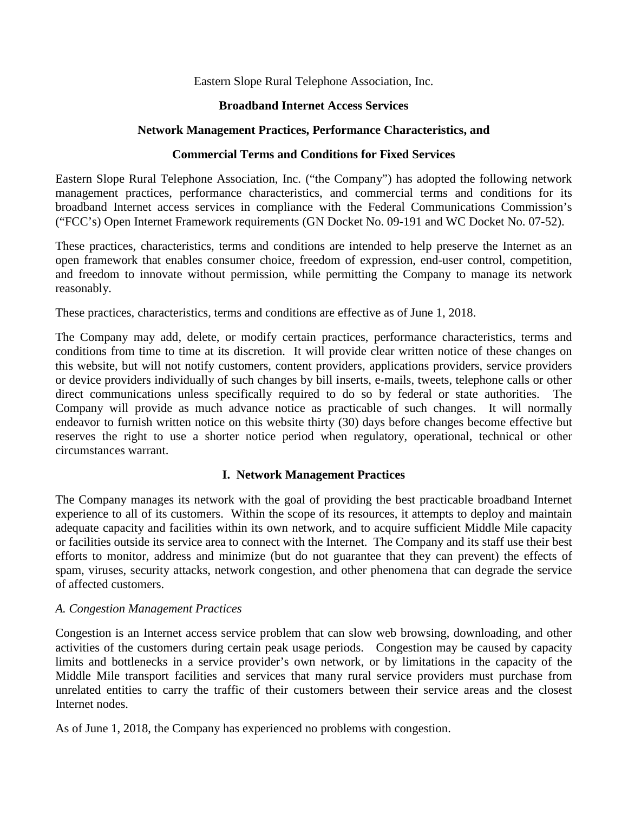## Eastern Slope Rural Telephone Association, Inc.

## **Broadband Internet Access Services**

## **Network Management Practices, Performance Characteristics, and**

# **Commercial Terms and Conditions for Fixed Services**

Eastern Slope Rural Telephone Association, Inc. ("the Company") has adopted the following network management practices, performance characteristics, and commercial terms and conditions for its broadband Internet access services in compliance with the Federal Communications Commission's ("FCC's) Open Internet Framework requirements (GN Docket No. 09-191 and WC Docket No. 07-52).

These practices, characteristics, terms and conditions are intended to help preserve the Internet as an open framework that enables consumer choice, freedom of expression, end-user control, competition, and freedom to innovate without permission, while permitting the Company to manage its network reasonably.

These practices, characteristics, terms and conditions are effective as of June 1, 2018.

The Company may add, delete, or modify certain practices, performance characteristics, terms and conditions from time to time at its discretion. It will provide clear written notice of these changes on this website, but will not notify customers, content providers, applications providers, service providers or device providers individually of such changes by bill inserts, e-mails, tweets, telephone calls or other direct communications unless specifically required to do so by federal or state authorities. The Company will provide as much advance notice as practicable of such changes. It will normally endeavor to furnish written notice on this website thirty (30) days before changes become effective but reserves the right to use a shorter notice period when regulatory, operational, technical or other circumstances warrant.

# **I. Network Management Practices**

The Company manages its network with the goal of providing the best practicable broadband Internet experience to all of its customers. Within the scope of its resources, it attempts to deploy and maintain adequate capacity and facilities within its own network, and to acquire sufficient Middle Mile capacity or facilities outside its service area to connect with the Internet. The Company and its staff use their best efforts to monitor, address and minimize (but do not guarantee that they can prevent) the effects of spam, viruses, security attacks, network congestion, and other phenomena that can degrade the service of affected customers.

### *A. Congestion Management Practices*

Congestion is an Internet access service problem that can slow web browsing, downloading, and other activities of the customers during certain peak usage periods. Congestion may be caused by capacity limits and bottlenecks in a service provider's own network, or by limitations in the capacity of the Middle Mile transport facilities and services that many rural service providers must purchase from unrelated entities to carry the traffic of their customers between their service areas and the closest Internet nodes.

As of June 1, 2018, the Company has experienced no problems with congestion.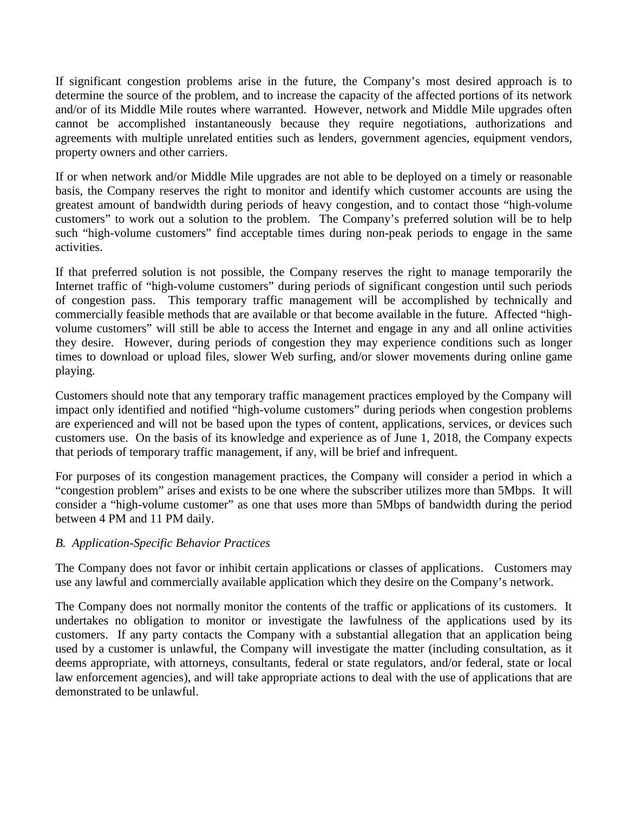If significant congestion problems arise in the future, the Company's most desired approach is to determine the source of the problem, and to increase the capacity of the affected portions of its network and/or of its Middle Mile routes where warranted. However, network and Middle Mile upgrades often cannot be accomplished instantaneously because they require negotiations, authorizations and agreements with multiple unrelated entities such as lenders, government agencies, equipment vendors, property owners and other carriers.

If or when network and/or Middle Mile upgrades are not able to be deployed on a timely or reasonable basis, the Company reserves the right to monitor and identify which customer accounts are using the greatest amount of bandwidth during periods of heavy congestion, and to contact those "high-volume customers" to work out a solution to the problem. The Company's preferred solution will be to help such "high-volume customers" find acceptable times during non-peak periods to engage in the same activities.

If that preferred solution is not possible, the Company reserves the right to manage temporarily the Internet traffic of "high-volume customers" during periods of significant congestion until such periods of congestion pass. This temporary traffic management will be accomplished by technically and commercially feasible methods that are available or that become available in the future. Affected "highvolume customers" will still be able to access the Internet and engage in any and all online activities they desire. However, during periods of congestion they may experience conditions such as longer times to download or upload files, slower Web surfing, and/or slower movements during online game playing.

Customers should note that any temporary traffic management practices employed by the Company will impact only identified and notified "high-volume customers" during periods when congestion problems are experienced and will not be based upon the types of content, applications, services, or devices such customers use. On the basis of its knowledge and experience as of June 1, 2018, the Company expects that periods of temporary traffic management, if any, will be brief and infrequent.

For purposes of its congestion management practices, the Company will consider a period in which a "congestion problem" arises and exists to be one where the subscriber utilizes more than 5Mbps. It will consider a "high-volume customer" as one that uses more than 5Mbps of bandwidth during the period between 4 PM and 11 PM daily.

### *B. Application-Specific Behavior Practices*

The Company does not favor or inhibit certain applications or classes of applications. Customers may use any lawful and commercially available application which they desire on the Company's network.

The Company does not normally monitor the contents of the traffic or applications of its customers. It undertakes no obligation to monitor or investigate the lawfulness of the applications used by its customers. If any party contacts the Company with a substantial allegation that an application being used by a customer is unlawful, the Company will investigate the matter (including consultation, as it deems appropriate, with attorneys, consultants, federal or state regulators, and/or federal, state or local law enforcement agencies), and will take appropriate actions to deal with the use of applications that are demonstrated to be unlawful.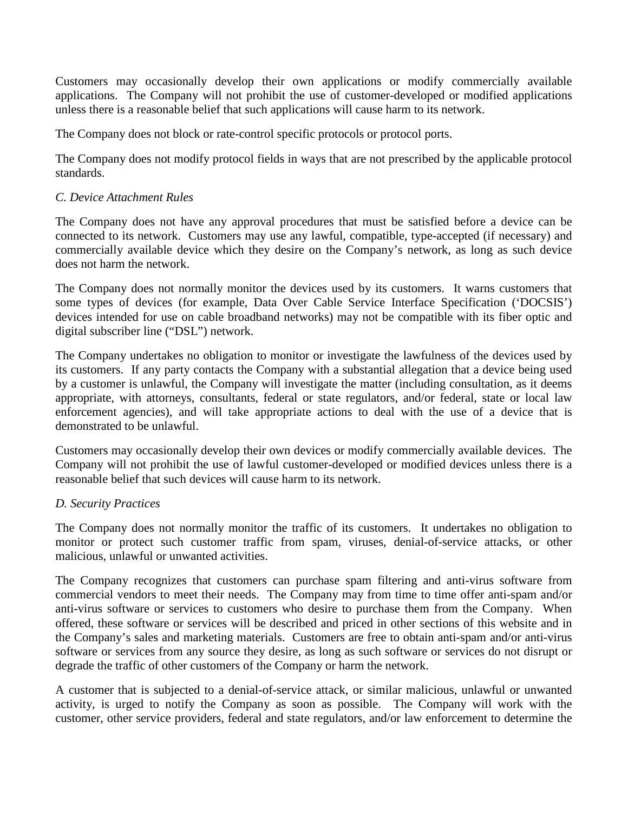Customers may occasionally develop their own applications or modify commercially available applications. The Company will not prohibit the use of customer-developed or modified applications unless there is a reasonable belief that such applications will cause harm to its network.

The Company does not block or rate-control specific protocols or protocol ports.

The Company does not modify protocol fields in ways that are not prescribed by the applicable protocol standards.

## *C. Device Attachment Rules*

The Company does not have any approval procedures that must be satisfied before a device can be connected to its network. Customers may use any lawful, compatible, type-accepted (if necessary) and commercially available device which they desire on the Company's network, as long as such device does not harm the network.

The Company does not normally monitor the devices used by its customers. It warns customers that some types of devices (for example, Data Over Cable Service Interface Specification ('DOCSIS') devices intended for use on cable broadband networks) may not be compatible with its fiber optic and digital subscriber line ("DSL") network.

The Company undertakes no obligation to monitor or investigate the lawfulness of the devices used by its customers. If any party contacts the Company with a substantial allegation that a device being used by a customer is unlawful, the Company will investigate the matter (including consultation, as it deems appropriate, with attorneys, consultants, federal or state regulators, and/or federal, state or local law enforcement agencies), and will take appropriate actions to deal with the use of a device that is demonstrated to be unlawful.

Customers may occasionally develop their own devices or modify commercially available devices. The Company will not prohibit the use of lawful customer-developed or modified devices unless there is a reasonable belief that such devices will cause harm to its network.

### *D. Security Practices*

The Company does not normally monitor the traffic of its customers. It undertakes no obligation to monitor or protect such customer traffic from spam, viruses, denial-of-service attacks, or other malicious, unlawful or unwanted activities.

The Company recognizes that customers can purchase spam filtering and anti-virus software from commercial vendors to meet their needs. The Company may from time to time offer anti-spam and/or anti-virus software or services to customers who desire to purchase them from the Company. When offered, these software or services will be described and priced in other sections of this website and in the Company's sales and marketing materials. Customers are free to obtain anti-spam and/or anti-virus software or services from any source they desire, as long as such software or services do not disrupt or degrade the traffic of other customers of the Company or harm the network.

A customer that is subjected to a denial-of-service attack, or similar malicious, unlawful or unwanted activity, is urged to notify the Company as soon as possible. The Company will work with the customer, other service providers, federal and state regulators, and/or law enforcement to determine the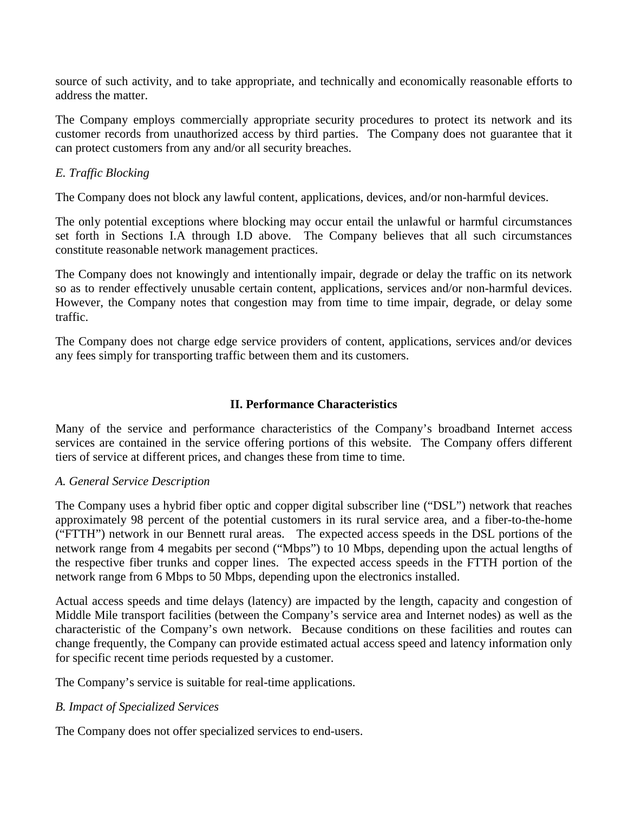source of such activity, and to take appropriate, and technically and economically reasonable efforts to address the matter.

The Company employs commercially appropriate security procedures to protect its network and its customer records from unauthorized access by third parties. The Company does not guarantee that it can protect customers from any and/or all security breaches.

## *E. Traffic Blocking*

The Company does not block any lawful content, applications, devices, and/or non-harmful devices.

The only potential exceptions where blocking may occur entail the unlawful or harmful circumstances set forth in Sections I.A through I.D above. The Company believes that all such circumstances constitute reasonable network management practices.

The Company does not knowingly and intentionally impair, degrade or delay the traffic on its network so as to render effectively unusable certain content, applications, services and/or non-harmful devices. However, the Company notes that congestion may from time to time impair, degrade, or delay some traffic.

The Company does not charge edge service providers of content, applications, services and/or devices any fees simply for transporting traffic between them and its customers.

# **II. Performance Characteristics**

Many of the service and performance characteristics of the Company's broadband Internet access services are contained in the service offering portions of this website. The Company offers different tiers of service at different prices, and changes these from time to time.

### *A. General Service Description*

The Company uses a hybrid fiber optic and copper digital subscriber line ("DSL") network that reaches approximately 98 percent of the potential customers in its rural service area, and a fiber-to-the-home ("FTTH") network in our Bennett rural areas. The expected access speeds in the DSL portions of the network range from 4 megabits per second ("Mbps") to 10 Mbps, depending upon the actual lengths of the respective fiber trunks and copper lines. The expected access speeds in the FTTH portion of the network range from 6 Mbps to 50 Mbps, depending upon the electronics installed.

Actual access speeds and time delays (latency) are impacted by the length, capacity and congestion of Middle Mile transport facilities (between the Company's service area and Internet nodes) as well as the characteristic of the Company's own network. Because conditions on these facilities and routes can change frequently, the Company can provide estimated actual access speed and latency information only for specific recent time periods requested by a customer.

The Company's service is suitable for real-time applications.

# *B. Impact of Specialized Services*

The Company does not offer specialized services to end-users.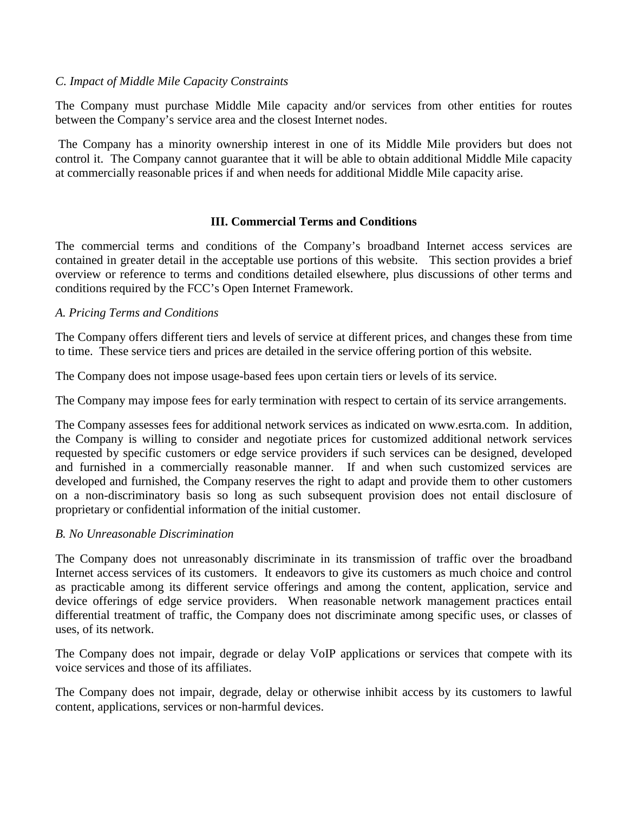## *C. Impact of Middle Mile Capacity Constraints*

The Company must purchase Middle Mile capacity and/or services from other entities for routes between the Company's service area and the closest Internet nodes.

The Company has a minority ownership interest in one of its Middle Mile providers but does not control it. The Company cannot guarantee that it will be able to obtain additional Middle Mile capacity at commercially reasonable prices if and when needs for additional Middle Mile capacity arise.

## **III. Commercial Terms and Conditions**

The commercial terms and conditions of the Company's broadband Internet access services are contained in greater detail in the acceptable use portions of this website. This section provides a brief overview or reference to terms and conditions detailed elsewhere, plus discussions of other terms and conditions required by the FCC's Open Internet Framework.

## *A. Pricing Terms and Conditions*

The Company offers different tiers and levels of service at different prices, and changes these from time to time. These service tiers and prices are detailed in the service offering portion of this website.

The Company does not impose usage-based fees upon certain tiers or levels of its service.

The Company may impose fees for early termination with respect to certain of its service arrangements.

The Company assesses fees for additional network services as indicated on www.esrta.com. In addition, the Company is willing to consider and negotiate prices for customized additional network services requested by specific customers or edge service providers if such services can be designed, developed and furnished in a commercially reasonable manner. If and when such customized services are developed and furnished, the Company reserves the right to adapt and provide them to other customers on a non-discriminatory basis so long as such subsequent provision does not entail disclosure of proprietary or confidential information of the initial customer.

# *B. No Unreasonable Discrimination*

The Company does not unreasonably discriminate in its transmission of traffic over the broadband Internet access services of its customers. It endeavors to give its customers as much choice and control as practicable among its different service offerings and among the content, application, service and device offerings of edge service providers. When reasonable network management practices entail differential treatment of traffic, the Company does not discriminate among specific uses, or classes of uses, of its network.

The Company does not impair, degrade or delay VoIP applications or services that compete with its voice services and those of its affiliates.

The Company does not impair, degrade, delay or otherwise inhibit access by its customers to lawful content, applications, services or non-harmful devices.